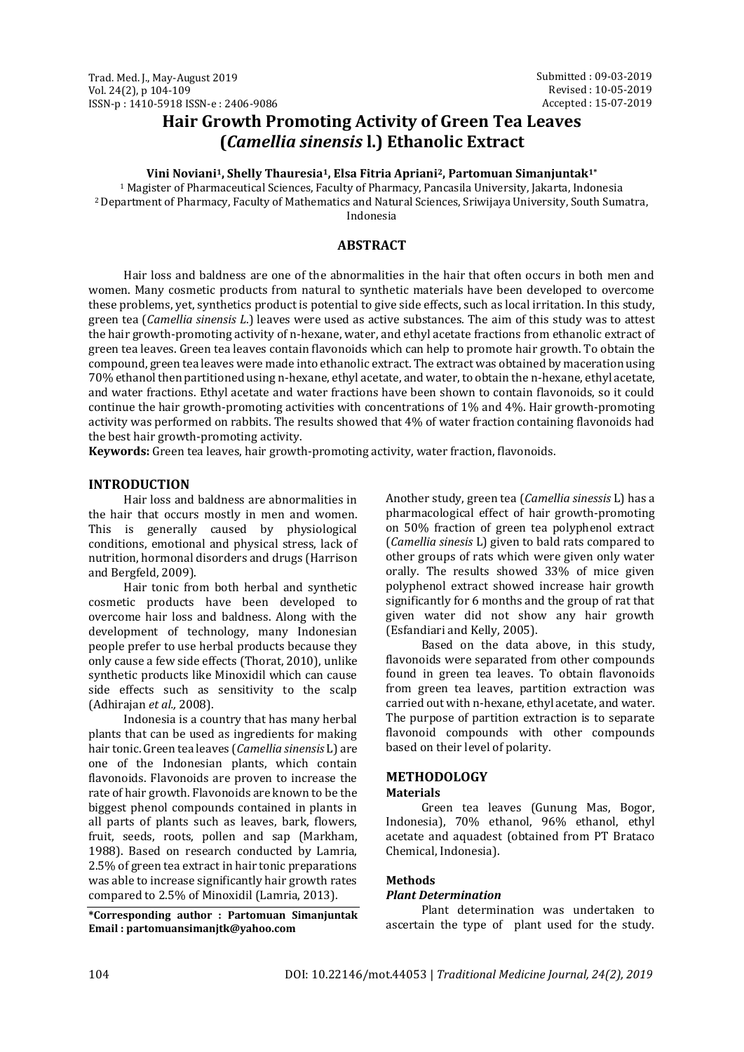# **Hair Growth Promoting Activity of Green Tea Leaves (***Camellia sinensis* **l.) Ethanolic Extract**

### **Vini Noviani1, Shelly Thauresia1, Elsa Fitria Apriani2, Partomuan Simanjuntak1\***

<sup>1</sup> Magister of Pharmaceutical Sciences, Faculty of Pharmacy, Pancasila University, Jakarta, Indonesia <sup>2</sup> Department of Pharmacy, Faculty of Mathematics and Natural Sciences, Sriwijaya University, South Sumatra, Indonesia

#### **ABSTRACT**

Hair loss and baldness are one of the abnormalities in the hair that often occurs in both men and women. Many cosmetic products from natural to synthetic materials have been developed to overcome these problems, yet, synthetics product is potential to give side effects, such as local irritation. In this study, green tea (*Camellia sinensis L*.) leaves were used as active substances. The aim of this study was to attest the hair growth-promoting activity of n-hexane, water, and ethyl acetate fractions from ethanolic extract of green tea leaves. Green tea leaves contain flavonoids which can help to promote hair growth. To obtain the compound, green tea leaves were made into ethanolic extract. The extract was obtained by maceration using 70% ethanol then partitioned using n-hexane, ethyl acetate, and water, to obtain the n-hexane, ethyl acetate, and water fractions. Ethyl acetate and water fractions have been shown to contain flavonoids, so it could continue the hair growth-promoting activities with concentrations of 1% and 4%. Hair growth-promoting activity was performed on rabbits. The results showed that 4% of water fraction containing flavonoids had the best hair growth-promoting activity.

**Keywords:** Green tea leaves, hair growth-promoting activity, water fraction, flavonoids.

#### **INTRODUCTION**

Hair loss and baldness are abnormalities in the hair that occurs mostly in men and women. This is generally caused by physiological conditions, emotional and physical stress, lack of nutrition, hormonal disorders and drugs (Harrison and Bergfeld, 2009).

Hair tonic from both herbal and synthetic cosmetic products have been developed to overcome hair loss and baldness. Along with the development of technology, many Indonesian people prefer to use herbal products because they only cause a few side effects (Thorat, 2010), unlike synthetic products like Minoxidil which can cause side effects such as sensitivity to the scalp (Adhirajan *et al.,* 2008).

Indonesia is a country that has many herbal plants that can be used as ingredients for making hair tonic. Green tea leaves (*Camellia sinensis* L) are one of the Indonesian plants, which contain flavonoids. Flavonoids are proven to increase the rate of hair growth. Flavonoids are known to be the biggest phenol compounds contained in plants in all parts of plants such as leaves, bark, flowers, fruit, seeds, roots, pollen and sap (Markham, 1988). Based on research conducted by Lamria, 2.5% of green tea extract in hair tonic preparations was able to increase significantly hair growth rates compared to 2.5% of Minoxidil (Lamria, 2013).

**\*Corresponding author : Partomuan Simanjuntak Email : partomuansimanjtk@yahoo.com**

Another study, green tea (*Camellia sinessis* L) has a pharmacological effect of hair growth-promoting on 50% fraction of green tea polyphenol extract (*Camellia sinesis* L) given to bald rats compared to other groups of rats which were given only water orally. The results showed 33% of mice given polyphenol extract showed increase hair growth significantly for 6 months and the group of rat that given water did not show any hair growth (Esfandiari and Kelly, 2005).

Based on the data above, in this study, flavonoids were separated from other compounds found in green tea leaves. To obtain flavonoids from green tea leaves, partition extraction was carried out with n-hexane, ethyl acetate, and water. The purpose of partition extraction is to separate flavonoid compounds with other compounds based on their level of polarity.

#### **METHODOLOGY**

#### **Materials**

Green tea leaves (Gunung Mas, Bogor, Indonesia), 70% ethanol, 96% ethanol, ethyl acetate and aquadest (obtained from PT Brataco Chemical, Indonesia).

#### **Methods**

#### *Plant Determination*

Plant determination was undertaken to ascertain the type of plant used for the study.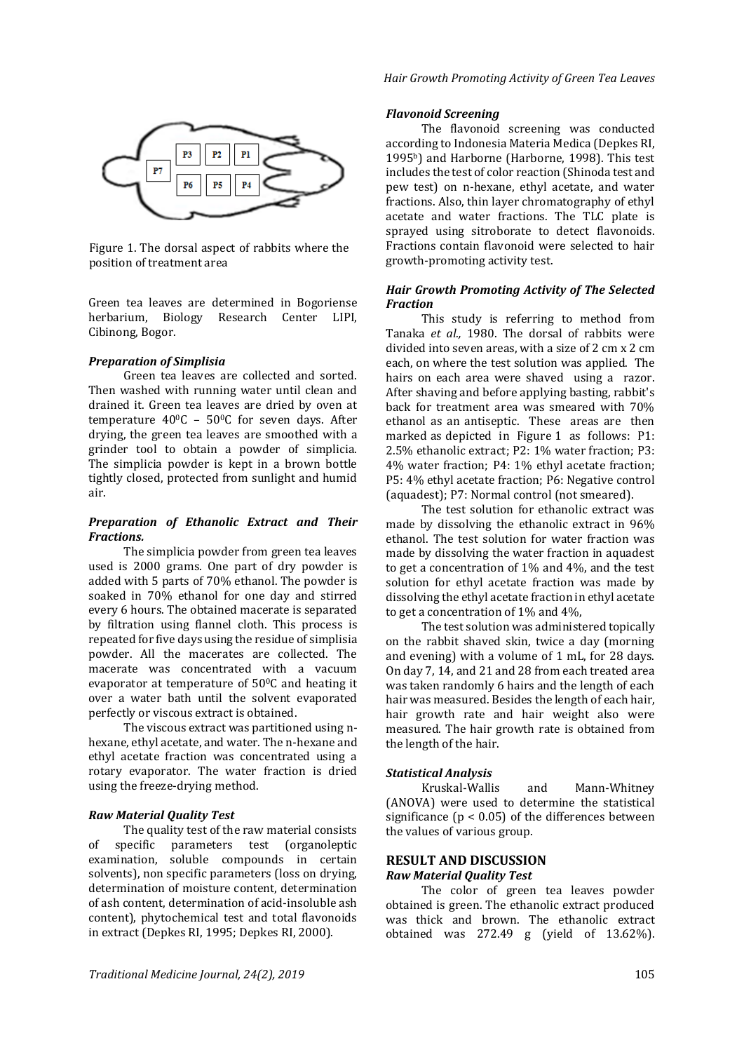

Figure 1. The dorsal aspect of rabbits where the position of treatment area

Green tea leaves are determined in Bogoriense herbarium, Biology Research Center LIPI, Cibinong, Bogor.

#### *Preparation of Simplisia*

Green tea leaves are collected and sorted. Then washed with running water until clean and drained it. Green tea leaves are dried by oven at temperature  $40^{\circ}$ C – 50 $^{\circ}$ C for seven days. After drying, the green tea leaves are smoothed with a grinder tool to obtain a powder of simplicia. The simplicia powder is kept in a brown bottle tightly closed, protected from sunlight and humid air.

#### *Preparation of Ethanolic Extract and Their Fractions.*

The simplicia powder from green tea leaves used is 2000 grams. One part of dry powder is added with 5 parts of 70% ethanol. The powder is soaked in 70% ethanol for one day and stirred every 6 hours. The obtained macerate is separated by filtration using flannel cloth. This process is repeated for five days using the residue of simplisia powder. All the macerates are collected. The macerate was concentrated with a vacuum evaporator at temperature of  $50^{\circ}$ C and heating it over a water bath until the solvent evaporated perfectly or viscous extract is obtained.

The viscous extract was partitioned using nhexane, ethyl acetate, and water. The n-hexane and ethyl acetate fraction was concentrated using a rotary evaporator. The water fraction is dried using the freeze-drying method.

#### *Raw Material Quality Test*

The quality test of the raw material consists of specific parameters test (organoleptic examination, soluble compounds in certain solvents), non specific parameters (loss on drying, determination of moisture content, determination of ash content, determination of acid-insoluble ash content), phytochemical test and total flavonoids in extract (Depkes RI, 1995; Depkes RI, 2000).

#### *Hair Growth Promoting Activity of Green Tea Leaves*

#### *Flavonoid Screening*

The flavonoid screening was conducted according to Indonesia Materia Medica (Depkes RI, 1995b) and Harborne (Harborne, 1998). This test includes the test of color reaction (Shinoda test and pew test) on n-hexane, ethyl acetate, and water fractions. Also, thin layer chromatography of ethyl acetate and water fractions. The TLC plate is sprayed using sitroborate to detect flavonoids. Fractions contain flavonoid were selected to hair growth-promoting activity test.

#### *Hair Growth Promoting Activity of The Selected Fraction*

This study is referring to method from Tanaka *et al.,* 1980. The dorsal of rabbits were divided into seven areas, with a size of 2 cm x 2 cm each, on where the test solution was applied. The hairs on each area were shaved using a razor. After shaving and before applying basting, rabbit's back for treatment area was smeared with 70% ethanol as an antiseptic. These areas are then marked as depicted in Figure 1 as follows: P1: 2.5% ethanolic extract; P2: 1% water fraction; P3: 4% water fraction; P4: 1% ethyl acetate fraction; P5: 4% ethyl acetate fraction; P6: Negative control (aquadest); P7: Normal control (not smeared).

The test solution for ethanolic extract was made by dissolving the ethanolic extract in 96% ethanol. The test solution for water fraction was made by dissolving the water fraction in aquadest to get a concentration of 1% and 4%, and the test solution for ethyl acetate fraction was made by dissolving the ethyl acetate fraction in ethyl acetate to get a concentration of 1% and 4%,

The test solution was administered topically on the rabbit shaved skin, twice a day (morning and evening) with a volume of 1 mL, for 28 days. On day 7, 14, and 21 and 28 from each treated area was taken randomly 6 hairs and the length of each hair was measured. Besides the length of each hair, hair growth rate and hair weight also were measured. The hair growth rate is obtained from the length of the hair.

# *Statistical Analysis*

and Mann-Whitney (ANOVA) were used to determine the statistical significance ( $p < 0.05$ ) of the differences between the values of various group.

#### **RESULT AND DISCUSSION**  *Raw Material Quality Test*

The color of green tea leaves powder obtained is green. The ethanolic extract produced was thick and brown. The ethanolic extract obtained was 272.49 g (yield of 13.62%).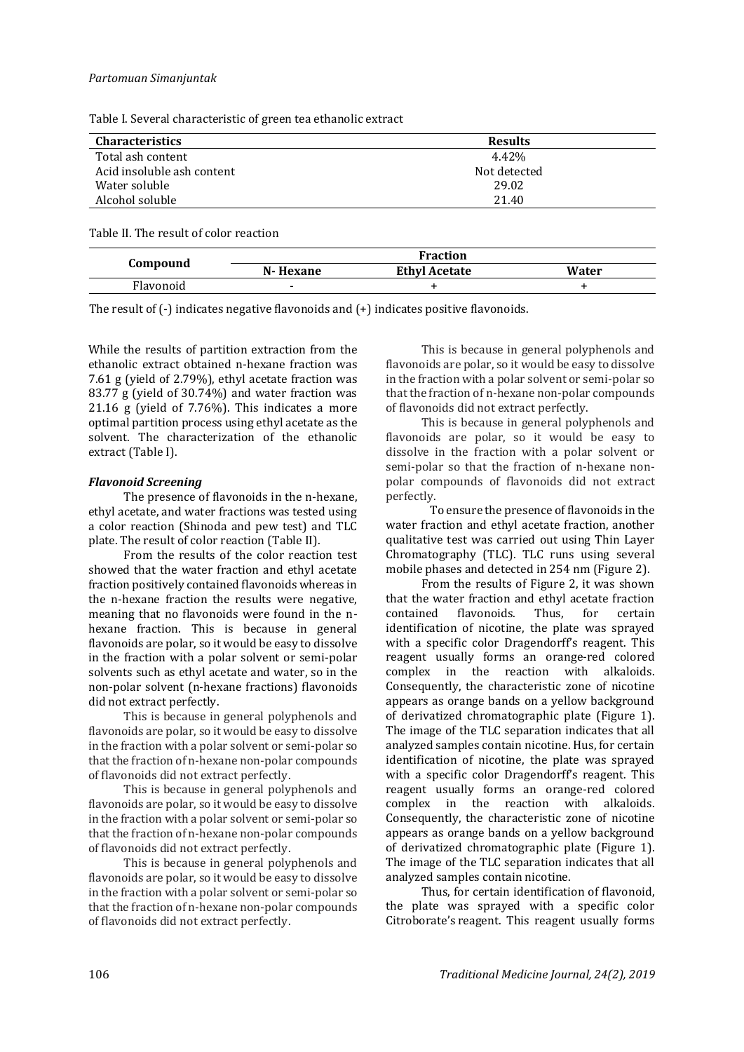Table I. Several characteristic of green tea ethanolic extract

| <b>Characteristics</b>     | <b>Results</b> |
|----------------------------|----------------|
| Total ash content          | 4.42%          |
| Acid insoluble ash content | Not detected   |
| Water soluble              | 29.02          |
| Alcohol soluble            | 21.40          |

Table II. The result of color reaction

| Compound  | <b>Fraction</b> |                      |       |  |
|-----------|-----------------|----------------------|-------|--|
|           | N-Hexane        | <b>Ethyl Acetate</b> | Water |  |
| Flavonoid |                 |                      |       |  |

The result of (-) indicates negative flavonoids and (+) indicates positive flavonoids.

While the results of partition extraction from the ethanolic extract obtained n-hexane fraction was 7.61 g (yield of 2.79%), ethyl acetate fraction was 83.77 g (yield of 30.74%) and water fraction was 21.16 g (yield of 7.76%). This indicates a more optimal partition process using ethyl acetate as the solvent. The characterization of the ethanolic extract (Table I).

#### *Flavonoid Screening*

The presence of flavonoids in the n-hexane, ethyl acetate, and water fractions was tested using a color reaction (Shinoda and pew test) and TLC plate. The result of color reaction (Table II).

From the results of the color reaction test showed that the water fraction and ethyl acetate fraction positively contained flavonoids whereas in the n-hexane fraction the results were negative, meaning that no flavonoids were found in the nhexane fraction. This is because in general flavonoids are polar, so it would be easy to dissolve in the fraction with a polar solvent or semi-polar solvents such as ethyl acetate and water, so in the non-polar solvent (n-hexane fractions) flavonoids did not extract perfectly.

This is because in general polyphenols and flavonoids are polar, so it would be easy to dissolve in the fraction with a polar solvent or semi-polar so that the fraction of n-hexane non-polar compounds of flavonoids did not extract perfectly.

This is because in general polyphenols and flavonoids are polar, so it would be easy to dissolve in the fraction with a polar solvent or semi-polar so that the fraction of n-hexane non-polar compounds of flavonoids did not extract perfectly.

This is because in general polyphenols and flavonoids are polar, so it would be easy to dissolve in the fraction with a polar solvent or semi-polar so that the fraction of n-hexane non-polar compounds of flavonoids did not extract perfectly.

This is because in general polyphenols and flavonoids are polar, so it would be easy to dissolve in the fraction with a polar solvent or semi-polar so that the fraction of n-hexane non-polar compounds of flavonoids did not extract perfectly.

This is because in general polyphenols and flavonoids are polar, so it would be easy to dissolve in the fraction with a polar solvent or semi-polar so that the fraction of n-hexane nonpolar compounds of flavonoids did not extract perfectly.

To ensure the presence of flavonoids in the water fraction and ethyl acetate fraction, another qualitative test was carried out using Thin Layer Chromatography (TLC). TLC runs using several mobile phases and detected in 254 nm (Figure 2).

From the results of Figure 2, it was shown that the water fraction and ethyl acetate fraction contained flavonoids. Thus, for certain identification of nicotine, the plate was sprayed with a specific color Dragendorff's reagent. This reagent usually forms an orange-red colored complex in the reaction with alkaloids. Consequently, the characteristic zone of nicotine appears as orange bands on a yellow background of derivatized chromatographic plate (Figure 1). The image of the TLC separation indicates that all analyzed samples contain nicotine. Hus, for certain identification of nicotine, the plate was sprayed with a specific color Dragendorff's reagent. This reagent usually forms an orange-red colored complex in the reaction with alkaloids. Consequently, the characteristic zone of nicotine appears as orange bands on a yellow background of derivatized chromatographic plate (Figure 1). The image of the TLC separation indicates that all analyzed samples contain nicotine.

Thus, for certain identification of flavonoid, the plate was sprayed with a specific color Citroborate's reagent. This reagent usually forms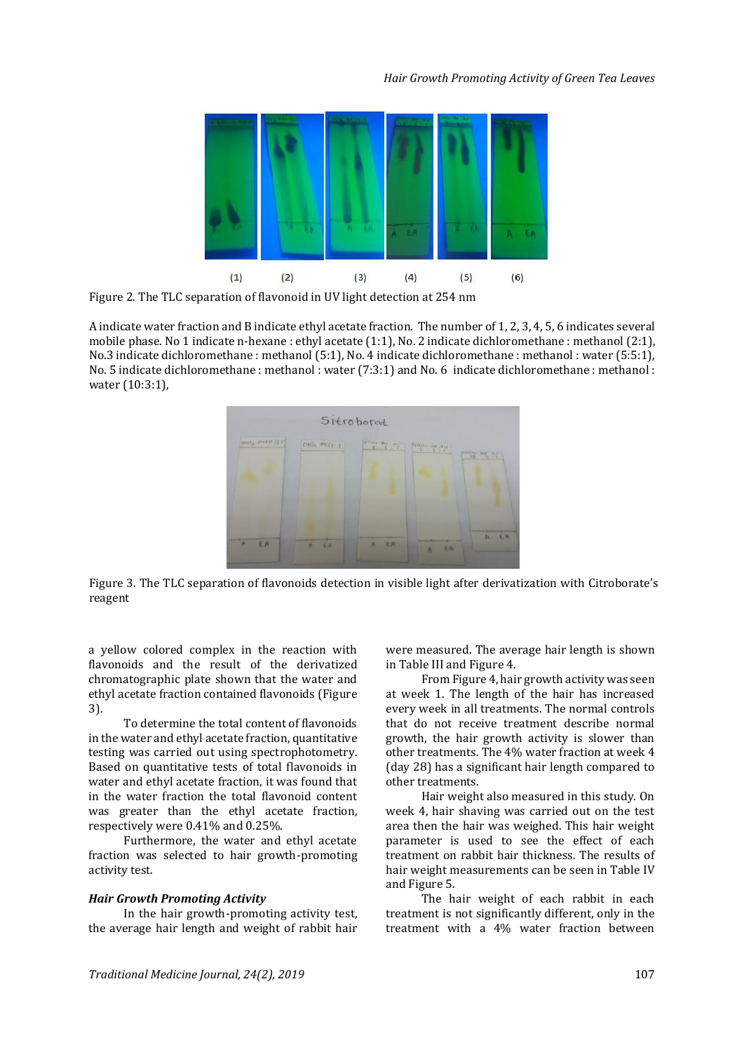

Figure 2. The TLC separation of flavonoid in UV light detection at 254 nm

A indicate water fraction and B indicate ethyl acetate fraction. The number of 1, 2, 3, 4, 5, 6 indicates several mobile phase. No 1 indicate n-hexane : ethyl acetate (1:1), No. 2 indicate dichloromethane : methanol (2:1), No.3 indicate dichloromethane : methanol (5:1), No. 4 indicate dichloromethane : methanol : water (5:5:1), No. 5 indicate dichloromethane : methanol : water (7:3:1) and No. 6 indicate dichloromethane : methanol : water (10:3:1),



Figure 3. The TLC separation of flavonoids detection in visible light after derivatization with Citroborate's reagent

a yellow colored complex in the reaction with flavonoids and the result of the derivatized chromatographic plate shown that the water and ethyl acetate fraction contained flavonoids (Figure 3).

To determine the total content of flavonoids in the water and ethyl acetate fraction, quantitative testing was carried out using spectrophotometry. Based on quantitative tests of total flavonoids in water and ethyl acetate fraction, it was found that in the water fraction the total flavonoid content was greater than the ethyl acetate fraction, respectively were 0.41% and 0.25%.

Furthermore, the water and ethyl acetate fraction was selected to hair growth-promoting activity test.

#### *Hair Growth Promoting Activity*

In the hair growth-promoting activity test, the average hair length and weight of rabbit hair were measured. The average hair length is shown in Table III and Figure 4.

From Figure 4, hair growth activity was seen at week 1. The length of the hair has increased every week in all treatments. The normal controls that do not receive treatment describe normal growth, the hair growth activity is slower than other treatments. The 4% water fraction at week 4 (day 28) has a significant hair length compared to other treatments.

Hair weight also measured in this study. On week 4, hair shaving was carried out on the test area then the hair was weighed. This hair weight parameter is used to see the effect of each treatment on rabbit hair thickness. The results of hair weight measurements can be seen in Table IV and Figure 5.

The hair weight of each rabbit in each treatment is not significantly different, only in the treatment with a 4% water fraction between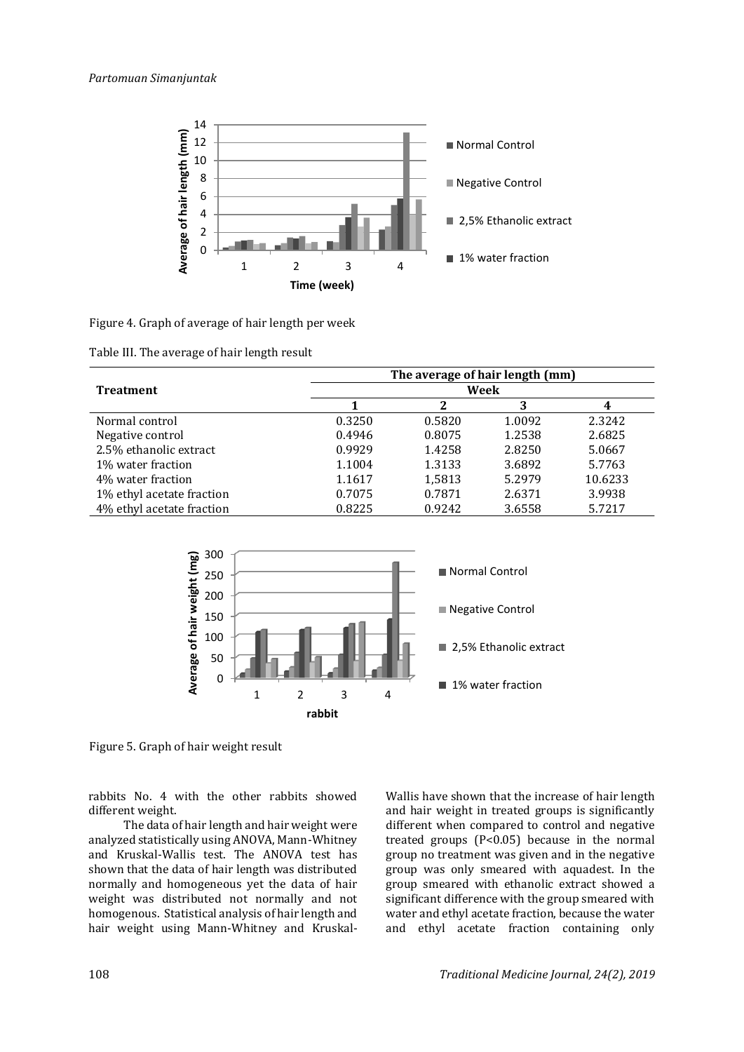

Figure 4. Graph of average of hair length per week

|  | Table III. The average of hair length result |  |  |  |
|--|----------------------------------------------|--|--|--|
|--|----------------------------------------------|--|--|--|

|                           | The average of hair length (mm) |        |        |         |
|---------------------------|---------------------------------|--------|--------|---------|
| <b>Treatment</b>          | Week                            |        |        |         |
|                           |                                 | 2      | 3      | 4       |
| Normal control            | 0.3250                          | 0.5820 | 1.0092 | 2.3242  |
| Negative control          | 0.4946                          | 0.8075 | 1.2538 | 2.6825  |
| 2.5% ethanolic extract    | 0.9929                          | 1.4258 | 2.8250 | 5.0667  |
| 1% water fraction         | 1.1004                          | 1.3133 | 3.6892 | 5.7763  |
| 4% water fraction         | 1.1617                          | 1,5813 | 5.2979 | 10.6233 |
| 1% ethyl acetate fraction | 0.7075                          | 0.7871 | 2.6371 | 3.9938  |
| 4% ethyl acetate fraction | 0.8225                          | 0.9242 | 3.6558 | 5.7217  |



Figure 5. Graph of hair weight result

rabbits No. 4 with the other rabbits showed different weight.

The data of hair length and hair weight were analyzed statistically using ANOVA, Mann-Whitney and Kruskal-Wallis test. The ANOVA test has shown that the data of hair length was distributed normally and homogeneous yet the data of hair weight was distributed not normally and not homogenous. Statistical analysis of hair length and hair weight using Mann-Whitney and KruskalWallis have shown that the increase of hair length and hair weight in treated groups is significantly different when compared to control and negative treated groups (P<0.05) because in the normal group no treatment was given and in the negative group was only smeared with aquadest. In the group smeared with ethanolic extract showed a significant difference with the group smeared with water and ethyl acetate fraction, because the water and ethyl acetate fraction containing only